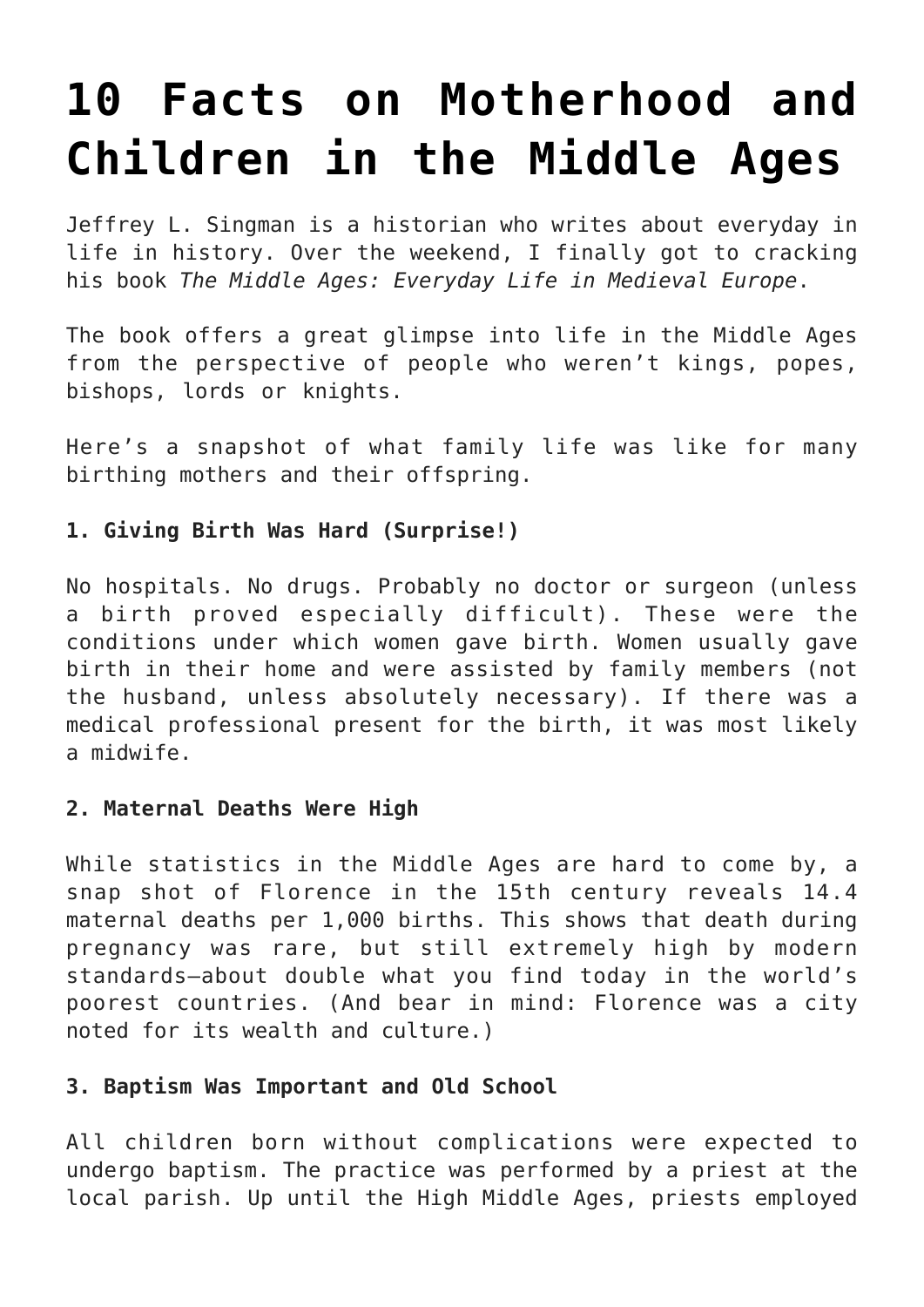# **[10 Facts on Motherhood and](https://intellectualtakeout.org/2016/06/10-facts-on-motherhood-and-children-in-the-middle-ages/) [Children in the Middle Ages](https://intellectualtakeout.org/2016/06/10-facts-on-motherhood-and-children-in-the-middle-ages/)**

Jeffrey L. Singman is a historian who writes about everyday in life in history. Over the weekend, I finally got to cracking his book *The Middle Ages: Everyday Life in Medieval Europe*.

The book offers a great glimpse into life in the Middle Ages from the perspective of people who weren't kings, popes, bishops, lords or knights.

Here's a snapshot of what family life was like for many birthing mothers and their offspring.

## **1. Giving Birth Was Hard (Surprise!)**

No hospitals. No drugs. Probably no doctor or surgeon (unless a birth proved especially difficult). These were the conditions under which women gave birth. Women usually gave birth in their home and were assisted by family members (not the husband, unless absolutely necessary). If there was a medical professional present for the birth, it was most likely a midwife.

#### **2. Maternal Deaths Were High**

While statistics in the Middle Ages are hard to come by, a snap shot of Florence in the 15th century reveals 14.4 maternal deaths per 1,000 births. This shows that death during pregnancy was rare, but still extremely high by modern standards–about double what you find today in the world's poorest countries. (And bear in mind: Florence was a city noted for its wealth and culture.)

## **3. Baptism Was Important and Old School**

All children born without complications were expected to undergo baptism. The practice was performed by a priest at the local parish. Up until the High Middle Ages, priests employed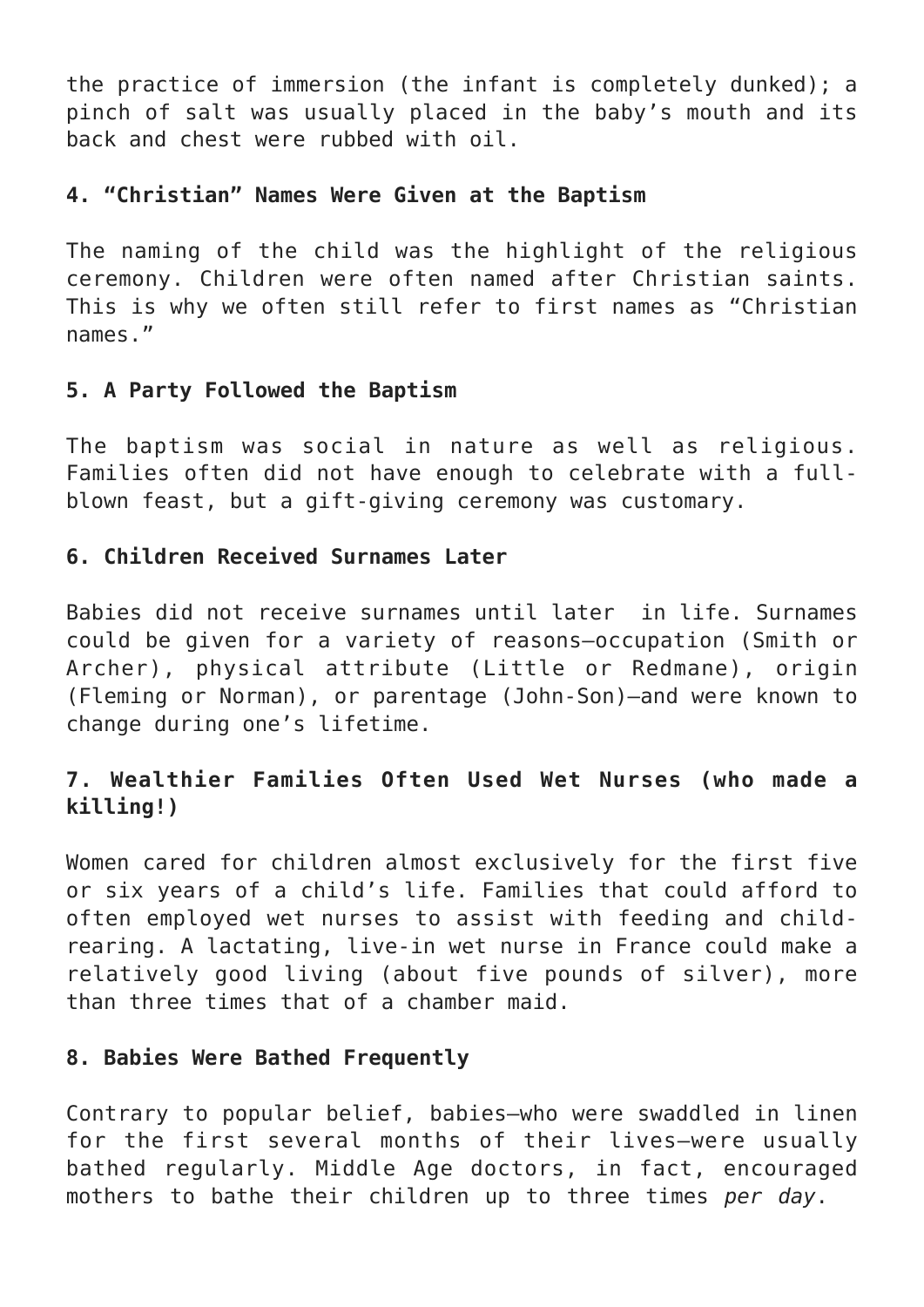the practice of immersion (the infant is completely dunked); a pinch of salt was usually placed in the baby's mouth and its back and chest were rubbed with oil.

#### **4. "Christian" Names Were Given at the Baptism**

The naming of the child was the highlight of the religious ceremony. Children were often named after Christian saints. This is why we often still refer to first names as "Christian names."

## **5. A Party Followed the Baptism**

The baptism was social in nature as well as religious. Families often did not have enough to celebrate with a fullblown feast, but a gift-giving ceremony was customary.

## **6. Children Received Surnames Later**

Babies did not receive surnames until later in life. Surnames could be given for a variety of reasons–occupation (Smith or Archer), physical attribute (Little or Redmane), origin (Fleming or Norman), or parentage (John-Son)–and were known to change during one's lifetime.

# **7. Wealthier Families Often Used Wet Nurses (who made a killing!)**

Women cared for children almost exclusively for the first five or six years of a child's life. Families that could afford to often employed wet nurses to assist with feeding and childrearing. A lactating, live-in wet nurse in France could make a relatively good living (about five pounds of silver), more than three times that of a chamber maid.

#### **8. Babies Were Bathed Frequently**

Contrary to popular belief, babies–who were swaddled in linen for the first several months of their lives–were usually bathed regularly. Middle Age doctors, in fact, encouraged mothers to bathe their children up to three times *per day*.